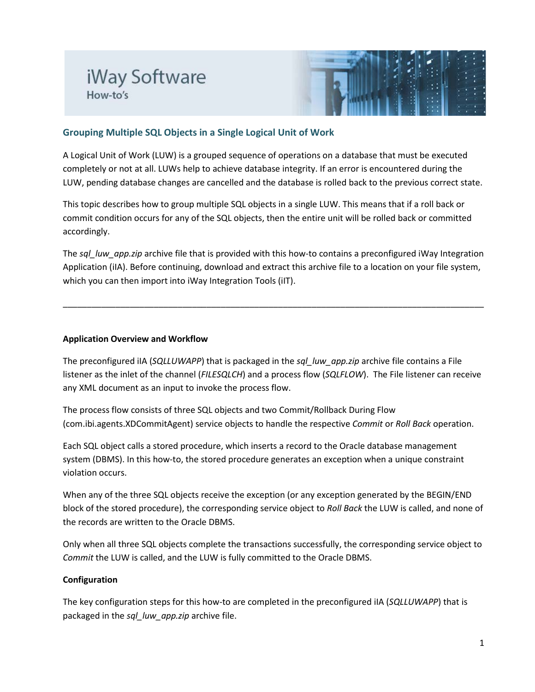## iWay Software How-to's



## **Grouping Multiple SQL Objects in a Single Logical Unit of Work**

A Logical Unit of Work (LUW) is a grouped sequence of operations on a database that must be executed completely or not at all. LUWs help to achieve database integrity. If an error is encountered during the LUW, pending database changes are cancelled and the database is rolled back to the previous correct state.

This topic describes how to group multiple SQL objects in a single LUW. This means that if a roll back or commit condition occurs for any of the SQL objects, then the entire unit will be rolled back or committed accordingly.

The *sql\_luw\_app.zip* archive file that is provided with this how-to contains a preconfigured iWay Integration Application (iIA). Before continuing, download and extract this archive file to a location on your file system, which you can then import into iWay Integration Tools (iIT).

\_\_\_\_\_\_\_\_\_\_\_\_\_\_\_\_\_\_\_\_\_\_\_\_\_\_\_\_\_\_\_\_\_\_\_\_\_\_\_\_\_\_\_\_\_\_\_\_\_\_\_\_\_\_\_\_\_\_\_\_\_\_\_\_\_\_\_\_\_\_\_\_\_\_\_\_\_\_\_\_\_\_\_\_\_\_\_\_

## **Application Overview and Workflow**

The preconfigured iIA (*SQLLUWAPP*) that is packaged in the *sql\_luw\_app.zip* archive file contains a File listener as the inlet of the channel (*FILESQLCH*) and a process flow (*SQLFLOW*). The File listener can receive any XML document as an input to invoke the process flow.

The process flow consists of three SQL objects and two Commit/Rollback During Flow (com.ibi.agents.XDCommitAgent) service objects to handle the respective *Commit* or *Roll Back* operation.

Each SQL object calls a stored procedure, which inserts a record to the Oracle database management system (DBMS). In this how-to, the stored procedure generates an exception when a unique constraint violation occurs.

When any of the three SQL objects receive the exception (or any exception generated by the BEGIN/END block of the stored procedure), the corresponding service object to *Roll Back* the LUW is called, and none of the records are written to the Oracle DBMS.

Only when all three SQL objects complete the transactions successfully, the corresponding service object to *Commit* the LUW is called, and the LUW is fully committed to the Oracle DBMS.

## **Configuration**

The key configuration steps for this how-to are completed in the preconfigured iIA (*SQLLUWAPP*) that is packaged in the *sql\_luw\_app.zip* archive file.